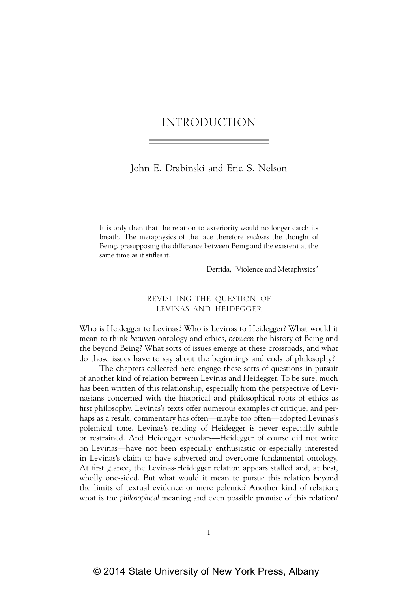## John E. Drabinski and Eric S. Nelson

It is only then that the relation to exteriority would no longer catch its breath. The metaphysics of the face therefore *encloses* the thought of Being, presupposing the difference between Being and the existent at the same time as it stifles it.

—Derrida, "Violence and Metaphysics"

## REVISITING THE QUESTION OF LEVINAS AND HEIDEGGER

Who is Heidegger to Levinas? Who is Levinas to Heidegger? What would it mean to think *between* ontology and ethics, *between* the history of Being and the beyond Being? What sorts of issues emerge at these crossroads, and what do those issues have to say about the beginnings and ends of philosophy?

The chapters collected here engage these sorts of questions in pursuit of another kind of relation between Levinas and Heidegger. To be sure, much has been written of this relationship, especially from the perspective of Levinasians concerned with the historical and philosophical roots of ethics as first philosophy. Levinas's texts offer numerous examples of critique, and perhaps as a result, commentary has often—maybe too often—adopted Levinas's polemical tone. Levinas's reading of Heidegger is never especially subtle or restrained. And Heidegger scholars—Heidegger of course did not write on Levinas—have not been especially enthusiastic or especially interested in Levinas's claim to have subverted and overcome fundamental ontology. At first glance, the Levinas-Heidegger relation appears stalled and, at best, wholly one-sided. But what would it mean to pursue this relation beyond the limits of textual evidence or mere polemic? Another kind of relation; what is the *philosophical* meaning and even possible promise of this relation?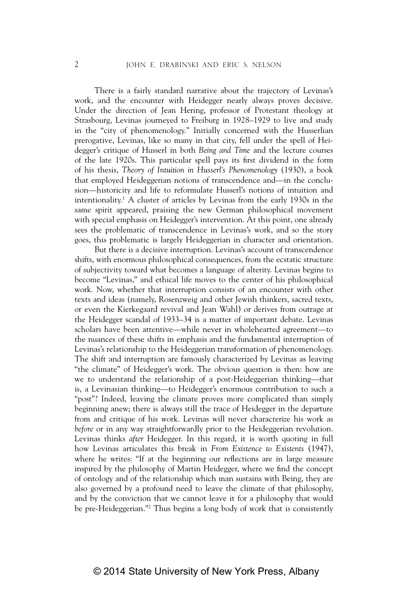There is a fairly standard narrative about the trajectory of Levinas's work, and the encounter with Heidegger nearly always proves decisive. Under the direction of Jean Hering, professor of Protestant theology at Strasbourg, Levinas journeyed to Freiburg in 1928–1929 to live and study in the "city of phenomenology." Initially concerned with the Husserlian prerogative, Levinas, like so many in that city, fell under the spell of Heidegger's critique of Husserl in both *Being and Time* and the lecture courses of the late 1920s. This particular spell pays its first dividend in the form of his thesis, *Theory of Intuition in Husserl's Phenomenology* (1930), a book that employed Heideggerian notions of transcendence and—in the conclusion—historicity and life to reformulate Husserl's notions of intuition and intentionality.1 A cluster of articles by Levinas from the early 1930s in the same spirit appeared, praising the new German philosophical movement with special emphasis on Heidegger's intervention. At this point, one already sees the problematic of transcendence in Levinas's work, and so the story goes, this problematic is largely Heideggerian in character and orientation.

But there is a decisive interruption. Levinas's account of transcendence shifts, with enormous philosophical consequences, from the ecstatic structure of subjectivity toward what becomes a language of alterity. Levinas begins to become "Levinas," and ethical life moves to the center of his philosophical work. Now, whether that interruption consists of an encounter with other texts and ideas (namely, Rosenzweig and other Jewish thinkers, sacred texts, or even the Kierkegaard revival and Jean Wahl) or derives from outrage at the Heidegger scandal of 1933–34 is a matter of important debate. Levinas scholars have been attentive—while never in wholehearted agreement—to the nuances of these shifts in emphasis and the fundamental interruption of Levinas's relationship to the Heideggerian transformation of phenomenology. The shift and interruption are famously characterized by Levinas as leaving "the climate" of Heidegger's work. The obvious question is then: how are we to understand the relationship of a post-Heideggerian thinking—that is, a Levinasian thinking—to Heidegger's enormous contribution to such a "post"? Indeed, leaving the climate proves more complicated than simply beginning anew; there is always still the trace of Heidegger in the departure from and critique of his work. Levinas will never characterize his work as *before* or in any way straightforwardly prior to the Heideggerian revolution. Levinas thinks *after* Heidegger. In this regard, it is worth quoting in full how Levinas articulates this break in *From Existence to Existents* (1947), where he writes: "If at the beginning our reflections are in large measure inspired by the philosophy of Martin Heidegger, where we find the concept of ontology and of the relationship which man sustains with Being, they are also governed by a profound need to leave the climate of that philosophy, and by the conviction that we cannot leave it for a philosophy that would be pre-Heideggerian."2 Thus begins a long body of work that is consistently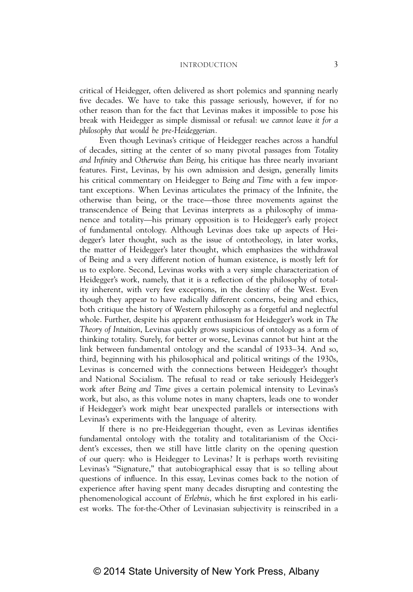critical of Heidegger, often delivered as short polemics and spanning nearly five decades. We have to take this passage seriously, however, if for no other reason than for the fact that Levinas makes it impossible to pose his break with Heidegger as simple dismissal or refusal: *we cannot leave it for a philosophy that would be pre-Heideggerian.*

Even though Levinas's critique of Heidegger reaches across a handful of decades, sitting at the center of so many pivotal passages from *Totality and Infinity* and *Otherwise than Being*, his critique has three nearly invariant features. First, Levinas, by his own admission and design, generally limits his critical commentary on Heidegger to *Being and Time* with a few important exceptions*.* When Levinas articulates the primacy of the Infinite, the otherwise than being, or the trace—those three movements against the transcendence of Being that Levinas interprets as a philosophy of immanence and totality—his primary opposition is to Heidegger's early project of fundamental ontology. Although Levinas does take up aspects of Heidegger's later thought, such as the issue of ontotheology, in later works, the matter of Heidegger's later thought, which emphasizes the withdrawal of Being and a very different notion of human existence, is mostly left for us to explore. Second, Levinas works with a very simple characterization of Heidegger's work, namely, that it is a reflection of the philosophy of totality inherent, with very few exceptions, in the destiny of the West. Even though they appear to have radically different concerns, being and ethics, both critique the history of Western philosophy as a forgetful and neglectful whole. Further, despite his apparent enthusiasm for Heidegger's work in *The Theory of Intuition*, Levinas quickly grows suspicious of ontology as a form of thinking totality. Surely, for better or worse, Levinas cannot but hint at the link between fundamental ontology and the scandal of 1933–34. And so, third, beginning with his philosophical and political writings of the 1930s, Levinas is concerned with the connections between Heidegger's thought and National Socialism. The refusal to read or take seriously Heidegger's work after *Being and Time* gives a certain polemical intensity to Levinas's work, but also, as this volume notes in many chapters, leads one to wonder if Heidegger's work might bear unexpected parallels or intersections with Levinas's experiments with the language of alterity.

If there is no pre-Heideggerian thought, even as Levinas identifies fundamental ontology with the totality and totalitarianism of the Occident's excesses, then we still have little clarity on the opening question of our query: who is Heidegger to Levinas? It is perhaps worth revisiting Levinas's "Signature," that autobiographical essay that is so telling about questions of influence. In this essay, Levinas comes back to the notion of experience after having spent many decades disrupting and contesting the phenomenological account of *Erlebnis*, which he first explored in his earliest works. The for-the-Other of Levinasian subjectivity is reinscribed in a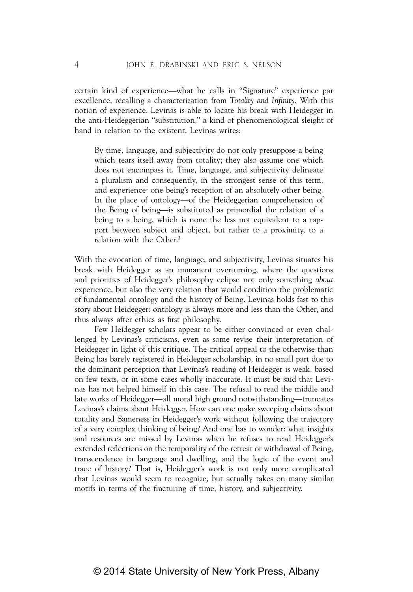certain kind of experience—what he calls in "Signature" experience par excellence, recalling a characterization from *Totality and Infinity*. With this notion of experience, Levinas is able to locate his break with Heidegger in the anti-Heideggerian "substitution," a kind of phenomenological sleight of hand in relation to the existent. Levinas writes:

By time, language, and subjectivity do not only presuppose a being which tears itself away from totality; they also assume one which does not encompass it. Time, language, and subjectivity delineate a pluralism and consequently, in the strongest sense of this term, and experience: one being's reception of an absolutely other being. In the place of ontology—of the Heideggerian comprehension of the Being of being—is substituted as primordial the relation of a being to a being, which is none the less not equivalent to a rapport between subject and object, but rather to a proximity, to a relation with the Other.<sup>3</sup>

With the evocation of time, language, and subjectivity, Levinas situates his break with Heidegger as an immanent overturning, where the questions and priorities of Heidegger's philosophy eclipse not only something *about* experience, but also the very relation that would condition the problematic of fundamental ontology and the history of Being. Levinas holds fast to this story about Heidegger: ontology is always more and less than the Other, and thus always after ethics as first philosophy.

Few Heidegger scholars appear to be either convinced or even challenged by Levinas's criticisms, even as some revise their interpretation of Heidegger in light of this critique. The critical appeal to the otherwise than Being has barely registered in Heidegger scholarship, in no small part due to the dominant perception that Levinas's reading of Heidegger is weak, based on few texts, or in some cases wholly inaccurate. It must be said that Levinas has not helped himself in this case. The refusal to read the middle and late works of Heidegger—all moral high ground notwithstanding—truncates Levinas's claims about Heidegger. How can one make sweeping claims about totality and Sameness in Heidegger's work without following the trajectory of a very complex thinking of being? And one has to wonder: what insights and resources are missed by Levinas when he refuses to read Heidegger's extended reflections on the temporality of the retreat or withdrawal of Being, transcendence in language and dwelling, and the logic of the event and trace of history? That is, Heidegger's work is not only more complicated that Levinas would seem to recognize, but actually takes on many similar motifs in terms of the fracturing of time, history, and subjectivity.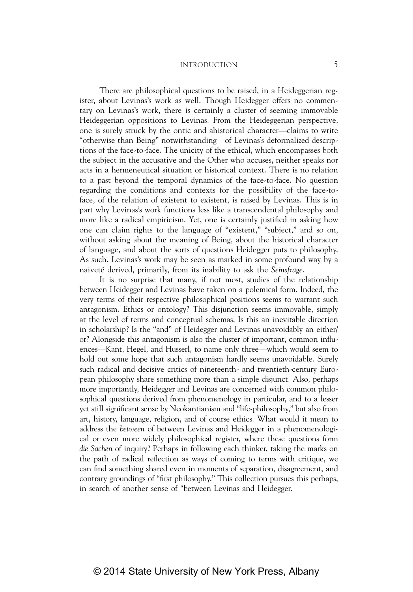There are philosophical questions to be raised, in a Heideggerian register, about Levinas's work as well. Though Heidegger offers no commentary on Levinas's work, there is certainly a cluster of seeming immovable Heideggerian oppositions to Levinas. From the Heideggerian perspective, one is surely struck by the ontic and ahistorical character—claims to write "otherwise than Being" notwithstanding—of Levinas's deformalized descriptions of the face-to-face. The unicity of the ethical, which encompasses both the subject in the accusative and the Other who accuses, neither speaks nor acts in a hermeneutical situation or historical context. There is no relation to a past beyond the temporal dynamics of the face-to-face. No question regarding the conditions and contexts for the possibility of the face-toface, of the relation of existent to existent, is raised by Levinas. This is in part why Levinas's work functions less like a transcendental philosophy and more like a radical empiricism. Yet, one is certainly justified in asking how one can claim rights to the language of "existent," "subject," and so on, without asking about the meaning of Being, about the historical character of language, and about the sorts of questions Heidegger puts to philosophy. As such, Levinas's work may be seen as marked in some profound way by a naiveté derived, primarily, from its inability to ask the *Seinsfrage*.

It is no surprise that many, if not most, studies of the relationship between Heidegger and Levinas have taken on a polemical form. Indeed, the very terms of their respective philosophical positions seems to warrant such antagonism. Ethics or ontology? This disjunction seems immovable, simply at the level of terms and conceptual schemas. Is this an inevitable direction in scholarship? Is the "and" of Heidegger and Levinas unavoidably an either/ or? Alongside this antagonism is also the cluster of important, common influences—Kant, Hegel, and Husserl, to name only three—which would seem to hold out some hope that such antagonism hardly seems unavoidable. Surely such radical and decisive critics of nineteenth- and twentieth-century European philosophy share something more than a simple disjunct. Also, perhaps more importantly, Heidegger and Levinas are concerned with common philosophical questions derived from phenomenology in particular, and to a lesser yet still significant sense by Neokantianism and "life-philosophy," but also from art, history, language, religion, and of course ethics. What would it mean to address the *between* of between Levinas and Heidegger in a phenomenological or even more widely philosophical register, where these questions form *die Sachen* of inquiry? Perhaps in following each thinker, taking the marks on the path of radical reflection as ways of coming to terms with critique, we can find something shared even in moments of separation, disagreement, and contrary groundings of "first philosophy." This collection pursues this perhaps, in search of another sense of "between Levinas and Heidegger.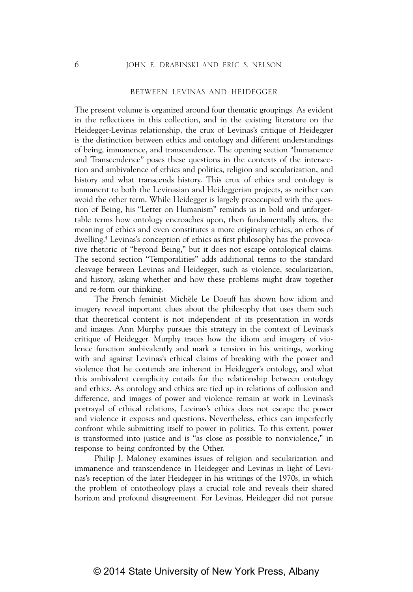#### BETWEEN LEVINAS AND HEIDEGGER

The present volume is organized around four thematic groupings. As evident in the reflections in this collection, and in the existing literature on the Heidegger-Levinas relationship, the crux of Levinas's critique of Heidegger is the distinction between ethics and ontology and different understandings of being, immanence, and transcendence. The opening section "Immanence and Transcendence" poses these questions in the contexts of the intersection and ambivalence of ethics and politics, religion and secularization, and history and what transcends history. This crux of ethics and ontology is immanent to both the Levinasian and Heideggerian projects, as neither can avoid the other term. While Heidegger is largely preoccupied with the question of Being, his "Letter on Humanism" reminds us in bold and unforgettable terms how ontology encroaches upon, then fundamentally alters, the meaning of ethics and even constitutes a more originary ethics, an ethos of dwelling.4 Levinas's conception of ethics as first philosophy has the provocative rhetoric of "beyond Being," but it does not escape ontological claims. The second section "Temporalities" adds additional terms to the standard cleavage between Levinas and Heidegger, such as violence, secularization, and history, asking whether and how these problems might draw together and re-form our thinking.

The French feminist Michèle Le Doeuff has shown how idiom and imagery reveal important clues about the philosophy that uses them such that theoretical content is not independent of its presentation in words and images. Ann Murphy pursues this strategy in the context of Levinas's critique of Heidegger. Murphy traces how the idiom and imagery of violence function ambivalently and mark a tension in his writings, working with and against Levinas's ethical claims of breaking with the power and violence that he contends are inherent in Heidegger's ontology, and what this ambivalent complicity entails for the relationship between ontology and ethics. As ontology and ethics are tied up in relations of collusion and difference, and images of power and violence remain at work in Levinas's portrayal of ethical relations, Levinas's ethics does not escape the power and violence it exposes and questions. Nevertheless, ethics can imperfectly confront while submitting itself to power in politics. To this extent, power is transformed into justice and is "as close as possible to nonviolence," in response to being confronted by the Other.

Philip J. Maloney examines issues of religion and secularization and immanence and transcendence in Heidegger and Levinas in light of Levinas's reception of the later Heidegger in his writings of the 1970s, in which the problem of ontotheology plays a crucial role and reveals their shared horizon and profound disagreement. For Levinas, Heidegger did not pursue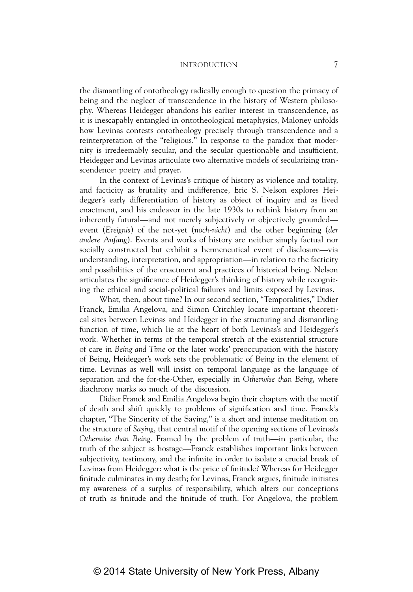the dismantling of ontotheology radically enough to question the primacy of being and the neglect of transcendence in the history of Western philosophy. Whereas Heidegger abandons his earlier interest in transcendence, as it is inescapably entangled in ontotheological metaphysics, Maloney unfolds how Levinas contests ontotheology precisely through transcendence and a reinterpretation of the "religious." In response to the paradox that modernity is irredeemably secular, and the secular questionable and insufficient, Heidegger and Levinas articulate two alternative models of secularizing transcendence: poetry and prayer.

In the context of Levinas's critique of history as violence and totality, and facticity as brutality and indifference, Eric S. Nelson explores Heidegger's early differentiation of history as object of inquiry and as lived enactment, and his endeavor in the late 1930s to rethink history from an inherently futural—and not merely subjectively or objectively grounded event (*Ereignis*) of the not-yet (*noch-nicht*) and the other beginning (*der andere Anfang*). Events and works of history are neither simply factual nor socially constructed but exhibit a hermeneutical event of disclosure—via understanding, interpretation, and appropriation—in relation to the facticity and possibilities of the enactment and practices of historical being. Nelson articulates the significance of Heidegger's thinking of history while recognizing the ethical and social-political failures and limits exposed by Levinas.

What, then, about time? In our second section, "Temporalities," Didier Franck, Emilia Angelova, and Simon Critchley locate important theoretical sites between Levinas and Heidegger in the structuring and dismantling function of time, which lie at the heart of both Levinas's and Heidegger's work. Whether in terms of the temporal stretch of the existential structure of care in *Being and Time* or the later works' preoccupation with the history of Being, Heidegger's work sets the problematic of Being in the element of time. Levinas as well will insist on temporal language as the language of separation and the for-the-Other, especially in *Otherwise than Being*, where diachrony marks so much of the discussion.

Didier Franck and Emilia Angelova begin their chapters with the motif of death and shift quickly to problems of signification and time. Franck's chapter, "The Sincerity of the Saying," is a short and intense meditation on the structure of *Saying*, that central motif of the opening sections of Levinas's *Otherwise than Being*. Framed by the problem of truth—in particular, the truth of the subject as hostage—Franck establishes important links between subjectivity, testimony, and the infinite in order to isolate a crucial break of Levinas from Heidegger: what is the price of finitude? Whereas for Heidegger finitude culminates in *my* death; for Levinas, Franck argues, finitude initiates my awareness of a surplus of responsibility, which alters our conceptions of truth as finitude and the finitude of truth. For Angelova, the problem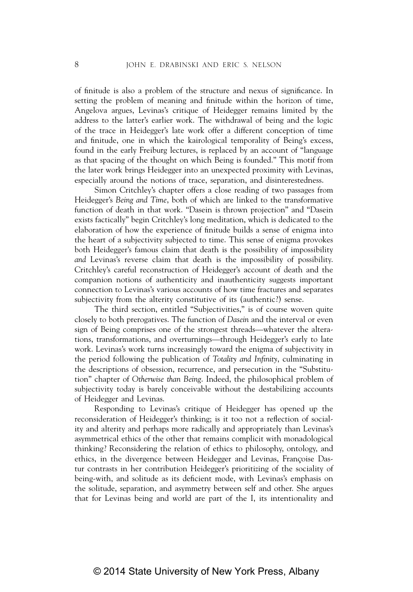of finitude is also a problem of the structure and nexus of significance. In setting the problem of meaning and finitude within the horizon of time, Angelova argues, Levinas's critique of Heidegger remains limited by the address to the latter's earlier work. The withdrawal of being and the logic of the trace in Heidegger's late work offer a different conception of time and finitude, one in which the kairological temporality of Being's excess, found in the early Freiburg lectures, is replaced by an account of "language as that spacing of the thought on which Being is founded." This motif from the later work brings Heidegger into an unexpected proximity with Levinas, especially around the notions of trace, separation, and disinterestedness.

Simon Critchley's chapter offers a close reading of two passages from Heidegger's *Being and Time*, both of which are linked to the transformative function of death in that work. "Dasein is thrown projection" and "Dasein exists factically" begin Critchley's long meditation, which is dedicated to the elaboration of how the experience of finitude builds a sense of enigma into the heart of a subjectivity subjected to time. This sense of enigma provokes both Heidegger's famous claim that death is the possibility of impossibility *and* Levinas's reverse claim that death is the impossibility of possibility. Critchley's careful reconstruction of Heidegger's account of death and the companion notions of authenticity and inauthenticity suggests important connection to Levinas's various accounts of how time fractures and separates subjectivity from the alterity constitutive of its (authentic?) sense.

The third section, entitled "Subjectivities," is of course woven quite closely to both prerogatives. The function of *Dasein* and the interval or even sign of Being comprises one of the strongest threads—whatever the alterations, transformations, and overturnings—through Heidegger's early to late work. Levinas's work turns increasingly toward the enigma of subjectivity in the period following the publication of *Totality and Infinity*, culminating in the descriptions of obsession, recurrence, and persecution in the "Substitution" chapter of *Otherwise than Being*. Indeed, the philosophical problem of subjectivity today is barely conceivable without the destabilizing accounts of Heidegger and Levinas.

Responding to Levinas's critique of Heidegger has opened up the reconsideration of Heidegger's thinking; is it too not a reflection of sociality and alterity and perhaps more radically and appropriately than Levinas's asymmetrical ethics of the other that remains complicit with monadological thinking? Reconsidering the relation of ethics to philosophy, ontology, and ethics, in the divergence between Heidegger and Levinas, Françoise Dastur contrasts in her contribution Heidegger's prioritizing of the sociality of being-with, and solitude as its deficient mode, with Levinas's emphasis on the solitude, separation, and asymmetry between self and other. She argues that for Levinas being and world are part of the I, its intentionality and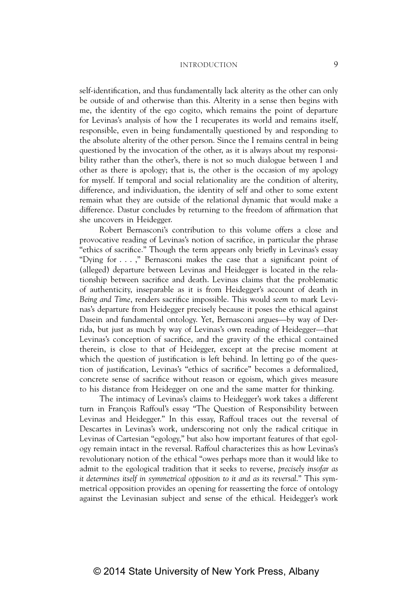self-identification, and thus fundamentally lack alterity as the other can only be outside of and otherwise than this. Alterity in a sense then begins with me, the identity of the ego cogito, which remains the point of departure for Levinas's analysis of how the I recuperates its world and remains itself, responsible, even in being fundamentally questioned by and responding to the absolute alterity of the other person. Since the I remains central in being questioned by the invocation of the other, as it is always about my responsibility rather than the other's, there is not so much dialogue between I and other as there is apology; that is, the other is the occasion of my apology for myself. If temporal and social relationality are the condition of alterity, difference, and individuation, the identity of self and other to some extent remain what they are outside of the relational dynamic that would make a difference. Dastur concludes by returning to the freedom of affirmation that she uncovers in Heidegger.

Robert Bernasconi's contribution to this volume offers a close and provocative reading of Levinas's notion of sacrifice, in particular the phrase "ethics of sacrifice." Though the term appears only briefly in Levinas's essay "Dying for . . . ," Bernasconi makes the case that a significant point of (alleged) departure between Levinas and Heidegger is located in the relationship between sacrifice and death. Levinas claims that the problematic of authenticity, inseparable as it is from Heidegger's account of death in *Being and Time*, renders sacrifice impossible. This would *seem* to mark Levinas's departure from Heidegger precisely because it poses the ethical against Dasein and fundamental ontology. Yet, Bernasconi argues—by way of Derrida, but just as much by way of Levinas's own reading of Heidegger—that Levinas's conception of sacrifice, and the gravity of the ethical contained therein, is close to that of Heidegger, except at the precise moment at which the question of justification is left behind. In letting go of the question of justification, Levinas's "ethics of sacrifice" becomes a deformalized, concrete sense of sacrifice without reason or egoism, which gives measure to his distance from Heidegger on one and the same matter for thinking.

The intimacy of Levinas's claims to Heidegger's work takes a different turn in François Raffoul's essay "The Question of Responsibility between Levinas and Heidegger." In this essay, Raffoul traces out the reversal of Descartes in Levinas's work, underscoring not only the radical critique in Levinas of Cartesian "egology," but also how important features of that egology remain intact in the reversal. Raffoul characterizes this as how Levinas's revolutionary notion of the ethical "owes perhaps more than it would like to admit to the egological tradition that it seeks to reverse, *precisely insofar as it determines itself in symmetrical opposition to it and as its reversal*." This symmetrical opposition provides an opening for reasserting the force of ontology against the Levinasian subject and sense of the ethical. Heidegger's work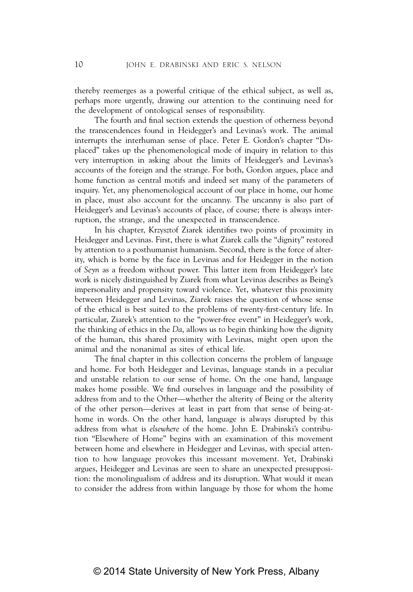thereby reemerges as a powerful critique of the ethical subject, as well as, perhaps more urgently, drawing our attention to the continuing need for the development of ontological senses of responsibility.

The fourth and final section extends the question of otherness beyond the transcendences found in Heidegger's and Levinas's work. The animal interrupts the interhuman sense of place. Peter E. Gordon's chapter "Displaced" takes up the phenomenological mode of inquiry in relation to this very interruption in asking about the limits of Heidegger's and Levinas's accounts of the foreign and the strange. For both, Gordon argues, place and home function as central motifs and indeed set many of the parameters of inquiry. Yet, any phenomenological account of our place in home, our home in place, must also account for the uncanny. The uncanny is also part of Heidegger's and Levinas's accounts of place, of course; there is always interruption, the strange, and the unexpected in transcendence.

In his chapter, Krzysztof Ziarek identifies two points of proximity in Heidegger and Levinas. First, there is what Ziarek calls the "dignity" restored by attention to a posthumanist humanism. Second, there is the force of alterity, which is borne by the face in Levinas and for Heidegger in the notion of *Seyn* as a freedom without power. This latter item from Heidegger's late work is nicely distinguished by Ziarek from what Levinas describes as Being's impersonality and propensity toward violence. Yet, whatever this proximity between Heidegger and Levinas, Ziarek raises the question of whose sense of the ethical is best suited to the problems of twenty-first-century life. In particular, Ziarek's attention to the "power-free event" in Heidegger's work, the thinking of ethics in the *Da*, allows us to begin thinking how the dignity of the human, this shared proximity with Levinas, might open upon the animal and the nonanimal as sites of ethical life.

The final chapter in this collection concerns the problem of language and home. For both Heidegger and Levinas, language stands in a peculiar and unstable relation to our sense of home. On the one hand, language makes home possible. We find ourselves in language and the possibility of address from and to the Other—whether the alterity of Being or the alterity of the other person—derives at least in part from that sense of being-athome in words. On the other hand, language is always disrupted by this address from what is *elsewhere* of the home. John E. Drabinski's contribution "Elsewhere of Home" begins with an examination of this movement between home and elsewhere in Heidegger and Levinas, with special attention to how language provokes this incessant movement. Yet, Drabinski argues, Heidegger and Levinas are seen to share an unexpected presupposition: the monolingualism of address and its disruption. What would it mean to consider the address from within language by those for whom the home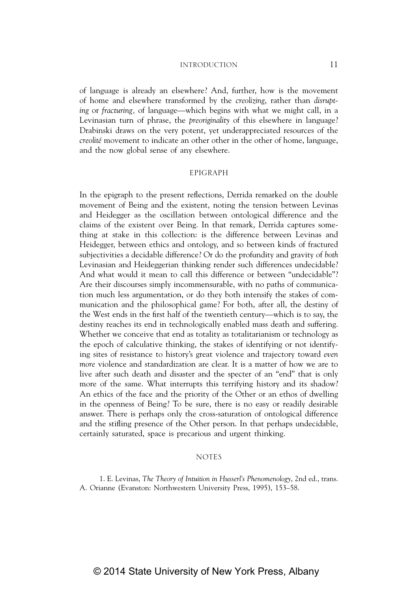of language is already an elsewhere? And, further, how is the movement of home and elsewhere transformed by the *creolizing*, rather than *disrupting* or *fracturing,* of language—which begins with what we might call, in a Levinasian turn of phrase, the *preoriginality* of this elsewhere in language? Drabinski draws on the very potent, yet underappreciated resources of the *creolité* movement to indicate an other other in the other of home, language, and the now global sense of any elsewhere.

#### EPIGRAPH

In the epigraph to the present reflections, Derrida remarked on the double movement of Being and the existent, noting the tension between Levinas and Heidegger as the oscillation between ontological difference and the claims of the existent over Being. In that remark, Derrida captures something at stake in this collection: is the difference between Levinas and Heidegger, between ethics and ontology, and so between kinds of fractured subjectivities a decidable difference? Or do the profundity and gravity of *both* Levinasian and Heideggerian thinking render such differences undecidable? And what would it mean to call this difference or between "undecidable"? Are their discourses simply incommensurable, with no paths of communication much less argumentation, or do they both intensify the stakes of communication and the philosophical game? For both, after all, the destiny of the West ends in the first half of the twentieth century—which is to say, the destiny reaches its end in technologically enabled mass death and suffering. Whether we conceive that end as totality as totalitarianism or technology as the epoch of calculative thinking, the stakes of identifying or not identifying sites of resistance to history's great violence and trajectory toward *even more* violence and standardization are clear. It is a matter of how we are to live after such death and disaster and the specter of an "end" that is only more of the same. What interrupts this terrifying history and its shadow? An ethics of the face and the priority of the Other or an ethos of dwelling in the openness of Being? To be sure, there is no easy or readily desirable answer. There is perhaps only the cross-saturation of ontological difference and the stifling presence of the Other person. In that perhaps undecidable, certainly saturated, space is precarious and urgent thinking.

#### **NOTES**

1. E. Levinas, *The Theory of Intuition in Husserl's Phenomenology*, 2nd ed., trans. A. Orianne (Evanston: Northwestern University Press, 1995), 153–58.